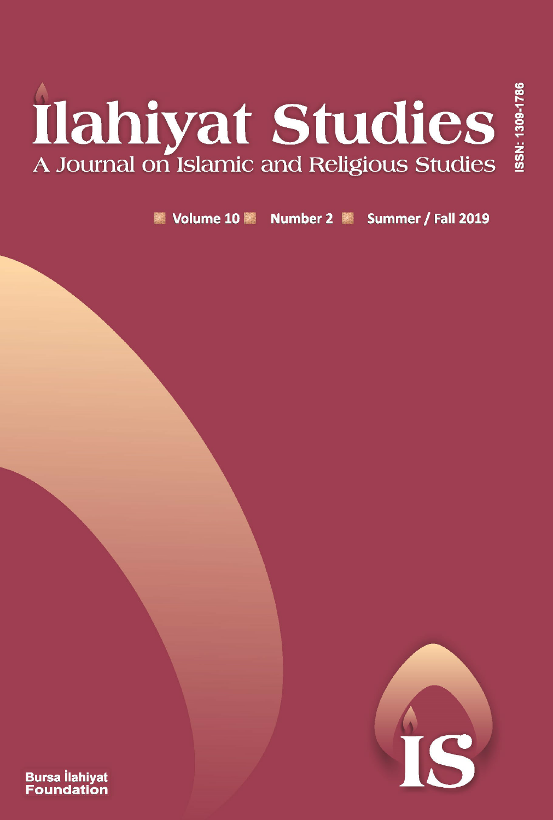# **Ilahiyat Studies**<br>A Journal on Islamic and Religious Studies

Volume 10 Number 2 Summer / Fall 2019



ISSN: 1309-178

**Bursa llahiyat Foundation**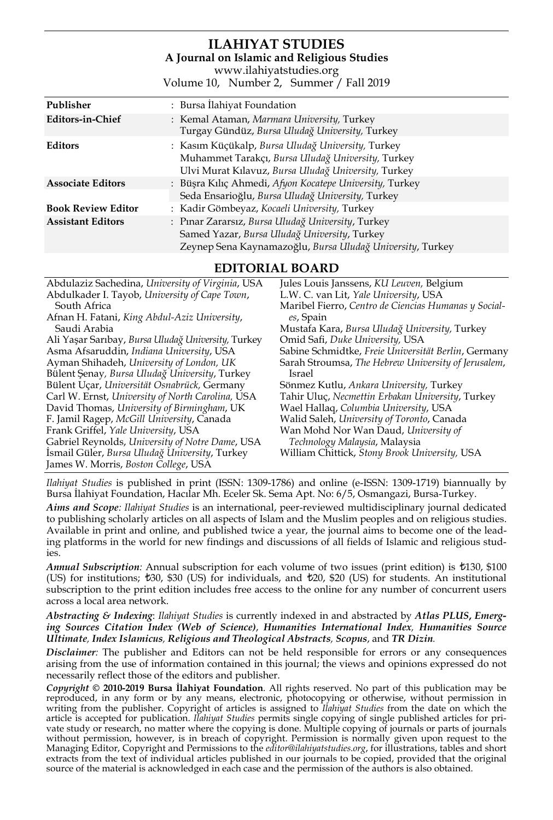### **ILAHIYAT STUDIES A Journal on Islamic and Religious Studies** www.ilahiyatstudies.org

Volume 10, Number 2, Summer / Fall 2019

| Publisher                 | : Bursa Ilahiyat Foundation                                                                                                                                    |
|---------------------------|----------------------------------------------------------------------------------------------------------------------------------------------------------------|
| Editors-in-Chief          | : Kemal Ataman, Marmara University, Turkey<br>Turgay Gündüz, Bursa Uludağ University, Turkey                                                                   |
| <b>Editors</b>            | : Kasım Küçükalp, Bursa Uludağ University, Turkey<br>Muhammet Tarakçı, Bursa Uludağ University, Turkey<br>Ulvi Murat Kılavuz, Bursa Uludağ University, Turkey  |
| <b>Associate Editors</b>  | : Büşra Kılıç Ahmedi, Afyon Kocatepe University, Turkey<br>Seda Ensarioğlu, Bursa Uludağ University, Turkey                                                    |
| <b>Book Review Editor</b> | : Kadir Gömbeyaz, Kocaeli University, Turkey                                                                                                                   |
| <b>Assistant Editors</b>  | : Pinar Zararsiz, Bursa Uludağ University, Turkey<br>Samed Yazar, Bursa Uludağ University, Turkey<br>Zeynep Sena Kaynamazoğlu, Bursa Uludağ University, Turkey |

**EDITORIAL BOARD**

| Abdulaziz Sachedina, University of Virginia, USA   | Jules Louis Janssens, KU Leuven, Belgium             |
|----------------------------------------------------|------------------------------------------------------|
| Abdulkader I. Tayob, University of Cape Town,      | L.W. C. van Lit, Yale University, USA                |
| South Africa                                       | Maribel Fierro, Centro de Ciencias Humanas y Social- |
| Afnan H. Fatani, King Abdul-Aziz University,       | es, Spain                                            |
| Saudi Arabia                                       | Mustafa Kara, Bursa Uludağ University, Turkey        |
| Ali Yaşar Sarıbay, Bursa Uludağ University, Turkey | Omid Safi, Duke University, USA                      |
| Asma Afsaruddin, Indiana University, USA           | Sabine Schmidtke, Freie Universität Berlin, Germany  |
| Ayman Shihadeh, University of London, UK           | Sarah Stroumsa, The Hebrew University of Jerusalem,  |
| Bülent Şenay, Bursa Uludağ University, Turkey      | Israel                                               |
| Bülent Uçar, Universität Osnabrück, Germany        | Sönmez Kutlu, Ankara University, Turkey              |
| Carl W. Ernst, University of North Carolina, USA   | Tahir Uluç, Necmettin Erbakan University, Turkey     |
| David Thomas, University of Birmingham, UK         | Wael Hallaq, Columbia University, USA                |
| F. Jamil Ragep, McGill University, Canada          | Walid Saleh, University of Toronto, Canada           |
| Frank Griffel, Yale University, USA                | Wan Mohd Nor Wan Daud, University of                 |
| Gabriel Reynolds, University of Notre Dame, USA    | Technology Malaysia, Malaysia                        |
| Ismail Güler, Bursa Uludağ University, Turkey      | William Chittick, Stony Brook University, USA        |
| James W. Morris, Boston College, USA               |                                                      |
|                                                    |                                                      |

*Ilahiyat Studies* is published in print (ISSN: 1309-1786) and online (e-ISSN: 1309-1719) biannually by Bursa İlahiyat Foundation, Hacılar Mh. Eceler Sk. Sema Apt. No: 6/5, Osmangazi, Bursa-Turkey.

*Aims and Scope: Ilahiyat Studies* is an international, peer-reviewed multidisciplinary journal dedicated to publishing scholarly articles on all aspects of Islam and the Muslim peoples and on religious studies. Available in print and online, and published twice a year, the journal aims to become one of the leading platforms in the world for new findings and discussions of all fields of Islamic and religious studies.

*Annual Subscription:* Annual subscription for each volume of two issues (print edition) is  $\text{\textsterling}130, \text{\textsterling}100$ (US) for institutions;  $\text{\textsterling}30$ ,  $\text{\textsterling}30$  (US) for individuals, and  $\text{\textsterling}20$ ,  $\text{\textsterling}20$  (US) for students. An institutional subscription to the print edition includes free access to the online for any number of concurrent users across a local area network.

*Abstracting & Indexing*: *Ilahiyat Studies* is currently indexed in and abstracted by *Atlas PLUS***,** *Emerging Sources Citation Index (Web of Science)*, *Humanities International Index, Humanities Source Ultimate, Index Islamicus, Religious and Theological Abstracts, Scopus*, and *TR Dizin.*

*Disclaimer:* The publisher and Editors can not be held responsible for errors or any consequences arising from the use of information contained in this journal; the views and opinions expressed do not necessarily reflect those of the editors and publisher.

*Copyright* **© 2010-2019 Bursa İlahiyat Foundation**. All rights reserved. No part of this publication may be reproduced, in any form or by any means, electronic, photocopying or otherwise, without permission in writing from the publisher. Copyright of articles is assigned to *Ilahiyat Studies* from the date on which the<br>article is accepted for publication. *Ilahiyat Studies* permits single copying of single published articles for vate study or research, no matter where the copying is done. Multiple copying of journals or parts of journals without permission, however, is in breach of copyright. Permission is normally given upon request to the<br>Managing Editor, Copyright and Permissions to the *editor@ilahiyatstudies.org,* for illustrations, tables and short extracts from the text of individual articles published in our journals to be copied, provided that the original source of the material is acknowledged in each case and the permission of the authors is also obtained.